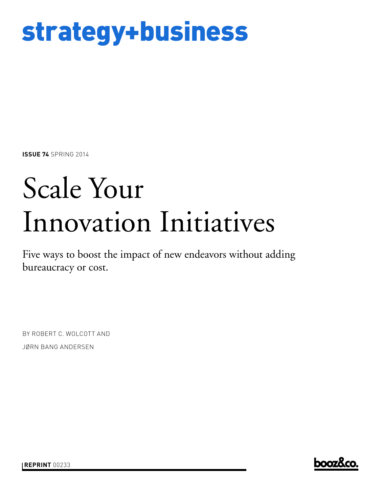# strategy+business

**ISSUE 74** SPRING 2014

# Scale Your Innovation Initiatives

Five ways to boost the impact of new endeavors without adding bureaucracy or cost.

BY ROBERT C. WOLCOTT AND JØRN BANG ANDERSEN

**booz&co** 

**REPRINT** 00233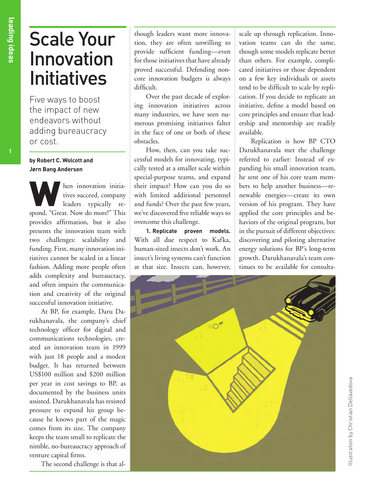## Scale Your Innovation **Initiatives**

Five ways to boost the impact of new endeavors without adding bureaucracy or cost.

#### **by Robert C. Wolcott and Jørn Bang Andersen**

Main innovation initiatives succeed, company spond, "Great. Now do more!" This provides affirmation, but it also presents the innovation team with two challenges: scalability and funding. First, many innovation initiatives cannot be scaled in a linear fashion. Adding more people often adds complexity and bureaucracy, and often impairs the communication and creativity of the original successful innovation initiative.

At BP, for example, Daru Darukhanavala, the company's chief technology officer for digital and communications technologies, created an innovation team in 1999 with just 18 people and a modest budget. It has returned between US\$100 million and \$200 million per year in cost savings to BP, as documented by the business units assisted. Darukhanavala has resisted pressure to expand his group because he knows part of the magic comes from its size. The company keeps the team small to replicate the nimble, no-bureaucracy approach of venture capital firms.

The second challenge is that al-

though leaders want more innovation, they are often unwilling to provide sufficient funding—even for those initiatives that have already proved successful. Defending noncore innovation budgets is always difficult.

Over the past decade of exploring innovation initiatives across many industries, we have seen numerous promising initiatives falter in the face of one or both of these obstacles.

How, then, can you take successful models for innovating, typically tested at a smaller scale within special-purpose teams, and expand their impact? How can you do so with limited additional personnel and funds? Over the past few years, we've discovered five reliable ways to overcome this challenge.

**1. Replicate proven models.**  With all due respect to Kafka, human-sized insects don't work. An insect's living systems can't function at that size. Insects can, however, scale up through replication. Innovation teams can do the same, though some models replicate better than others. For example, complicated initiatives or those dependent on a few key individuals or assets tend to be difficult to scale by replication. If you decide to replicate an initiative, define a model based on core principles and ensure that leadership and mentorship are readily available.

Replication is how BP CTO Darukhanavala met the challenge referred to earlier: Instead of expanding his small innovation team, he sent one of his core team members to help another business—renewable energies—create its own version of his program. They have applied the core principles and behaviors of the original program, but in the pursuit of different objectives: discovering and piloting alternative energy solutions for BP's long-term growth. Darukhanavala's team continues to be available for consulta-

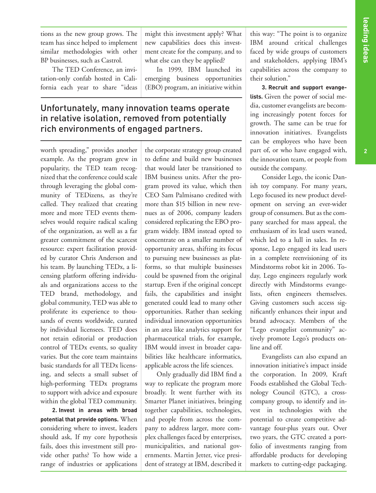$\overline{2}$ 

tions as the new group grows. The team has since helped to implement similar methodologies with other BP businesses, such as Castrol.

The TED Conference, an invitation-only confab hosted in California each year to share "ideas might this investment apply? What new capabilities does this investment create for the company, and to what else can they be applied?

In 1999, IBM launched its emerging business opportunities (EBO) program, an initiative within

### Unfortunately, many innovation teams operate in relative isolation, removed from potentially rich environments of engaged partners.

worth spreading," provides another example. As the program grew in popularity, the TED team recognized that the conference could scale through leveraging the global community of TEDizens, as they're called. They realized that creating more and more TED events themselves would require radical scaling of the organization, as well as a far greater commitment of the scarcest resource: expert facilitation provided by curator Chris Anderson and his team. By launching TEDx, a licensing platform offering individuals and organizations access to the TED brand, methodology, and global community, TED was able to proliferate its experience to thousands of events worldwide, curated by individual licensees. TED does not retain editorial or production control of TEDx events, so quality varies. But the core team maintains basic standards for all TEDx licensing, and selects a small subset of high-performing TEDx programs to support with advice and exposure within the global TED community.

**2. Invest in areas with broad potential that provide options.** When considering where to invest, leaders should ask, If my core hypothesis fails, does this investment still provide other paths? To how wide a range of industries or applications the corporate strategy group created to define and build new businesses that would later be transitioned to IBM business units. After the program proved its value, which then CEO Sam Palmisano credited with more than \$15 billion in new revenues as of 2006, company leaders considered replicating the EBO program widely. IBM instead opted to concentrate on a smaller number of opportunity areas, shifting its focus to pursuing new businesses as platforms, so that multiple businesses could be spawned from the original startup. Even if the original concept fails, the capabilities and insight generated could lead to many other opportunities. Rather than seeking individual innovation opportunities in an area like analytics support for pharmaceutical trials, for example, IBM would invest in broader capabilities like healthcare informatics, applicable across the life sciences.

Only gradually did IBM find a way to replicate the program more broadly. It went further with its Smarter Planet initiatives, bringing together capabilities, technologies, and people from across the company to address larger, more complex challenges faced by enterprises, municipalities, and national governments. Martin Jetter, vice president of strategy at IBM, described it

this way: "The point is to organize IBM around critical challenges faced by wide groups of customers and stakeholders, applying IBM's capabilities across the company to their solution."

**3. Recruit and support evangelists.** Given the power of social media, customer evangelists are becoming increasingly potent forces for growth. The same can be true for innovation initiatives. Evangelists can be employees who have been part of, or who have engaged with, the innovation team, or people from outside the company.

Consider Lego, the iconic Danish toy company. For many years, Lego focused its new product development on serving an ever-wider group of consumers. But as the company searched for mass appeal, the enthusiasm of its lead users waned, which led to a lull in sales. In response, Lego engaged its lead users in a complete reenvisioning of its Mindstorms robot kit in 2006. Today, Lego engineers regularly work directly with Mindstorms evangelists, often engineers themselves. Giving customers such access significantly enhances their input and brand advocacy. Members of the "Lego evangelist community" actively promote Lego's products online and off.

Evangelists can also expand an innovation initiative's impact inside the corporation. In 2009, Kraft Foods established the Global Technology Council (GTC), a crosscompany group, to identify and invest in technologies with the potential to create competitive advantage four-plus years out. Over two years, the GTC created a portfolio of investments ranging from affordable products for developing markets to cutting-edge packaging.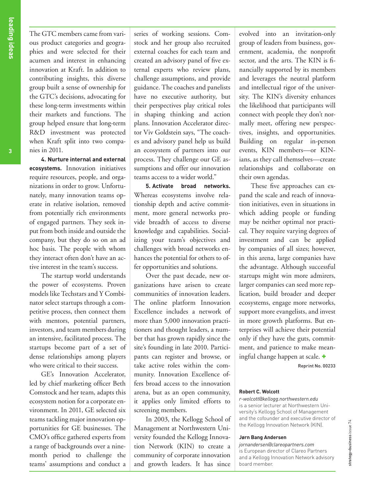**3**

The GTC members came from various product categories and geographies and were selected for their acumen and interest in enhancing innovation at Kraft. In addition to contributing insights, this diverse group built a sense of ownership for the GTC's decisions, advocating for these long-term investments within their markets and functions. The group helped ensure that long-term R&D investment was protected when Kraft split into two companies in 2011.

**4. Nurture internal and external ecosystems.** Innovation initiatives require resources, people, and organizations in order to grow. Unfortunately, many innovation teams operate in relative isolation, removed from potentially rich environments of engaged partners. They seek input from both inside and outside the company, but they do so on an ad hoc basis. The people with whom they interact often don't have an active interest in the team's success.

The startup world understands the power of ecosystems. Proven models like Techstars and Y Combinator select startups through a competitive process, then connect them with mentors, potential partners, investors, and team members during an intensive, facilitated process. The startups become part of a set of dense relationships among players who were critical to their success.

GE's Innovation Accelerator, led by chief marketing officer Beth Comstock and her team, adapts this ecosystem notion for a corporate environment. In 2011, GE selected six teams tackling major innovation opportunities for GE businesses. The CMO's office gathered experts from a range of backgrounds over a ninemonth period to challenge the teams' assumptions and conduct a

series of working sessions. Comstock and her group also recruited external coaches for each team and created an advisory panel of five external experts who review plans, challenge assumptions, and provide guidance. The coaches and panelists have no executive authority, but their perspectives play critical roles in shaping thinking and action plans. Innovation Accelerator director Viv Goldstein says, "The coaches and advisory panel help us build an ecosystem of partners into our process. They challenge our GE assumptions and offer our innovation teams access to a wider world."

**5. Activate broad networks.**  Whereas ecosystems involve relationship depth and active commitment, more general networks provide breadth of access to diverse knowledge and capabilities. Socializing your team's objectives and challenges with broad networks enhances the potential for others to offer opportunities and solutions.

Over the past decade, new organizations have arisen to create communities of innovation leaders. The online platform Innovation Excellence includes a network of more than 5,000 innovation practitioners and thought leaders, a number that has grown rapidly since the site's founding in late 2010. Participants can register and browse, or take active roles within the community. Innovation Excellence offers broad access to the innovation arena, but as an open community, it applies only limited efforts to screening members.

In 2003, the Kellogg School of Management at Northwestern University founded the Kellogg Innovation Network (KIN) to create a community of corporate innovation and growth leaders. It has since

evolved into an invitation-only group of leaders from business, government, academia, the nonprofit sector, and the arts. The KIN is financially supported by its members and leverages the neutral platform and intellectual rigor of the university. The KIN's diversity enhances the likelihood that participants will connect with people they don't normally meet, offering new perspectives, insights, and opportunities. Building on regular in-person events, KIN members—or KINians, as they call themselves—create relationships and collaborate on their own agendas.

These five approaches can expand the scale and reach of innovation initiatives, even in situations in which adding people or funding may be neither optimal nor practical. They require varying degrees of investment and can be applied by companies of all sizes; however, in this arena, large companies have the advantage. Although successful startups might win more admirers, larger companies can seed more replication, build broader and deeper ecosystems, engage more networks, support more evangelists, and invest in more growth platforms. But enterprises will achieve their potential only if they have the guts, commitment, and patience to make meaningful change happen at scale. +

Reprint No. 00233

#### **Robert C. Wolcott**

*r-wolcott@kellogg.northwestern.edu*  is a senior lecturer at Northwestern University's Kellogg School of Management and the cofounder and executive director of the Kellogg Innovation Network (KIN).

#### **Jørn Bang Andersen**

*jornandersen@clareopartners.com* is European director of Clareo Partners and a Kellogg Innovation Network advisory board member.